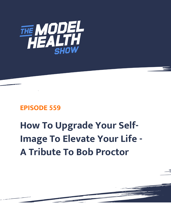

## **EPISODE 559**

# **How To Upgrade Your Self-Image To Elevate Your Life - A Tribute To Bob Proctor**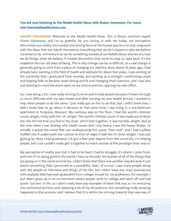### **You are now listening to The Model Health Show with Shawn Stevenson. For more, visit themodelhealthshow.com.**

**SHAWN STEVENSON:** Welcome to the Model Health Show. This is fitness nutrition expert Shawn Stevenson, and I'm so grateful for you tuning in with me today, our perception determines our reality, the number one driving force of the human psyche is to stay congruent with the ideas that one has of themselves. Everything that we do is based on who we believe ourselves to be, and every time we do something outside of our beliefs about who we are, how we do things, what we believe, it creates discomfort that tends to snap us right back, it's the snapback into our old ways of being. This is why change can be so difficult, so a real change is generally going to start from a place of changing our identity. Now, about 16 years ago, I had already been working in the field of health and wellness for about four years. I was working at the university that I graduated from recently and working as a strength conditioning coach and helping folks to become more strong and fit and changing their nutrition, and I was also just starting to crack the doors open on my clinical practice, opening my own office.

So, I was doing a lot, I was really striving to serve and to help people because I'd been through so much difficulty with my own health and after turning my own health around, I wanted to help other people to do the same. I just really got on fire to do that, but I didn't know how, I didn't know how to go about it because at that same time, I was living in a one-bedroom apartment in Ferguson, Missouri. My mattress was on the floor, I had the world's chittiest couch, alright, chitty with the 'ch', alright. The world's chittiest couch. It was made out of dryer lint, like the lint that you find in the dryer, stitch that together, it was terrible, alright. And at the time when I was dealing with health issues and I was heavy, I was the heavy Shawn, I'd actually cracked the wood that was underpinning this quote "love seat", and I had a pillow stuffed into it underneath the cushion to kind of make it look like it's level, alright. I was just getting by. Now, I had graduated, I've got a four-year degree from the university, I'm helping people, but I just couldn't really get it together to reach outside of the paradigm that I was in.

My perception of reality was that it had to be hard, I had to struggle, it's where I come from, and even if I'm doing good in the world, I have to shoulder the burden of all of the things that are going on in the world around me. I didn't know that there was another way because it just wasn't something that I perceived as a possibility. Now, of course, I saw many people doing well, the people on television and things of the like, but I didn't have any close associations with anybody that had even graduated from college, except for my professors, for example, I just didn't grow up in an environment where people went to college and went off and had quote "success" in life, so I didn't really have any examples of what that was so I'm venturing into uncharted territory and replaying a lot of my old patterns. But something really amazing happened in that process, and I believe that it is within the striving towards that new way of

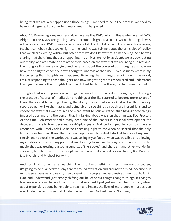being, that we actually happen upon those things... We need to be in the process, we need to have a willingness. But something really amazing happened.

About 15, 16 years ago, my mother-in-law gave me this DVD... Alright, this is when we had DVD. Alright, so the DVDs are getting passed around, alright. It also... It wasn't bootleg, it was actually a real, real DVD, it was a real version of it. And I put it on, and there was this amazing teacher, somebody that spoke right to me, and he was talking about the principles of reality that we all are existing within, but oftentimes we don't know that it's happening. And he was sharing that the things that are happening in our lives are not by accident, we are co-creating our reality, and we create an attractive field based on the way that we are living our lives and the thoughts that we're carrying. And he talked about the power of our thoughts and how we have the ability to choose our own thoughts, whereas at the time, I lived so many years in my life believing that thoughts just happened. Believing that if things are going on in the world, I'm just responding to those thoughts, and now I'm getting more empowered and understand that I get to create the thoughts that I want, I get to think the thoughts that I want to think.

Thoughts that are empowering, and I get to cancel out the negative thoughts, and through the practice of course, of meditation and things of the like I started to become more aware of those things and becoming... Having the ability to essentially work kind of like the minority report screen or like the matrix and being able to see things through a different lens and to choose the way that I want to live and what I want to believe, rather than having these things imposed upon me, and the person that I'm talking about who's on that film was Bob Proctor. At the time, Bob Proctor had already been one of the leaders in personal development for decades... Literally four decades, so 40-plus years. And certain people, you just have a resonance with, I really felt like he was speaking right to me when he shared that the only limits in our lives are those that we place upon ourselves. And I started to inspect my inner terrain and to see all the stories that I was telling myself about what was possible and allowing my conditions to dictate my potential, and hearing from him that day, and he was in... The hit movie that was getting passed around was 'The Secret', and there's many other wonderful speakers, but there were three people in particular that really stuck out to me, Bob Proctor, Lisa Nichols, and Michael Beckwith.

And from that moment after watching the film, like something shifted in me, now, of course, it's going to be nuanced with any tenets around attraction and around the mind, because our mind is so expansive and reality is so dynamic and complex and expansive as well, but to fall in tune and understand, just simply shifting our belief about things changes things, it changes how we operate in the world, and from that moment I just got on fire, I had so many ideas about expansion, about being able to reach and impact the lives of more people in a positive way, I didn't know how yet, I still didn't know how yet. Podcasts weren't a thing.

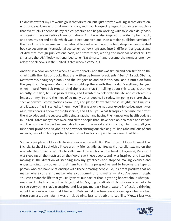I didn't know that my life would go in that direction, but I just started walking in that direction, writing ideas down, writing down my goals, and man, life quickly began to change so much so that eventually I opened up my clinical practice and began working with folks on a daily basis and seeing these incredible transformations. And I was also inspired to write my first book, and then my second book, which was 'Sleep Smarter' and then a major published version of that book, which became an international bestseller, and was the first sleep wellness-related book to become an international bestseller it's now translated into 21 different languages and 21 different foreign publications each, and from there, writing the national bestseller, 'Eat Smarter', the USA Today national bestseller 'Eat Smarter' and became the number one new release of all books in the United States when it came out.

And this is a book on health when it's on the charts, and this was fiction and non-fiction on the charts with the likes of books that are written by former presidents, "Being" Barack Obama, Matthew McConaughey's book, and the list goes on and on in this book about nutrition from this guy from Ferguson, Missouri being right up there with the greats. Everything changed when I heard from Bob Proctor. And the reason that I'm talking about this today is that we recently lost Bob, he just passed away, and I wanted to celebrate his life and celebrate his impact on my life and the lives of so many other people. So today, I'm going to share these special powerful conversations from Bob, and please know that these insights are timeless, and it was as if as I listened to them myself, it was a very emotional experience because it was as if I was hearing them for the first time, and I'll tell you what transpired because even with the accolades and the success with being an author and having the number one health podcast in United States many times over, and all the people that I have been able to reach and impact and the positive change I've been able to see in the world and in my life, what I can tell you, first-hand, proof positive about the power of shifting our thinking, millions and millions of and millions, tens of millions, probably hundreds of millions of people have seen that film.

So many people would love to have a conversation with Bob Proctor, would love to meet Lisa Nichols, Michael Beckwith... These are my friends, Michael Beckwith, literally text me on the way into the studio today... No, he called me, I missed his call. I've lived in Ferguson, Missouri. I was sleeping on the mattress on the floor. I saw these people, and I was inspired, and I started moving in the direction of stepping into my greatness and stopped making excuses and understanding how powerful that I am to shift my perspective and to become the type of person who can have relationships with these amazing people. So, it's proof positive that no matter where you are, no matter where you come from, no matter what you've been through. You can create the life that you truly want. But part of that is getting honest about what you really want, which is one of the things that Bob's going to talk about, but it's really remarkable to see everything that's transpired and just put me back into a state of reflection, thinking about the conversations that I had with Bob, and at the time, seven years ago when we had [these conversations, Man, I was on cloud nine, just to be able to see like, "Wow, I just was](https://themodelhealthshow.com/podcasts/remembering-bob-proctor/) 

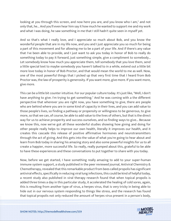looking at you through this screen, and now here you are, and you know who I am," and not only that, he... And you'll even hear him say it how much he wanted to support me and my work and what I was doing, he saw something in me that I still hadn't quite seen in myself yet.

And so that's what I really love, and I appreciate so much about Bob, and you know the wonderful people that are in my life now, and you and I just appreciate you so much for being a part of this movement and for allowing me to be a part of your life. And if there's any value that I've been able to provide, and I just want to ask you today in honor of Bob to really do something today to pay it forward, just something simple, give a compliment to somebody... Let somebody know how much you appreciate them, tell somebody that you love them, send a little special text to maybe somebody you haven't talked to in a while, extend out a little bit more love today in honor of Bob Proctor, and that would mean the world to me as well. Now, one of the most powerful things that I picked up that very first time that I heard from Bob Proctor was, the law of prosperity is generosity. If you want more, give more. If you want more, give more.

This can be a little bit counter intuitive. For our popular culture today. It's just like, "Well, I don't have anything to give. I'm trying to get something." And he was coming with a the different perspective that wherever you are right now, you have something to give, there are people who are behind where you are in some kind of capacity in their lives, and you can add value to those people's lives, so finding a pathway or propensity or willingness to be generous, to give more, so that we can, of course, be able to add value to the lives of others, but that is the direct way for us to achieve prosperity and success ourselves, and so finding ways to give... Because we know this, now we've got all these wonderful studies showing how giving and doing for other people really helps to improve our own health, literally it improves our health, and it creates this cascade this release of positive affirmative hormones and neurotransmitters through the act of giving. And this gets into the value of what you're going to hear about and learn from Bob today in sharing his amazing story and also some powerful insights for us to all create a happier, more successful life. So really, really pumped about this, grateful to be able to have these experiences and these conversations to put together to share with you today.

Now, before we get started, I have something really amazing to add to your super-human immune system support, a study published in the peer reviewed journal, Antiviral Chemistry & Chemotherapy, revealed that this remarkable product from bees called propolis has significant antiviral effects, specifically in reducing viral lung infections, this could be kind of helpful today, a recent study also published in viral therapy research found that when topical propolis is added three times a day in this particular study, it accelerated the healing of cold sores, again, this is resulting from another type of virus, a herpes virus, that is very tricky in being able to hide out in our nervous system responding to things like stress, and the research has found [that topical propolis not only reduced the amount of herpes virus present in a person](https://themodelhealthshow.com/podcasts/remembering-bob-proctor/)'[s body,](https://themodelhealthshow.com/podcasts/remembering-bob-proctor/) 

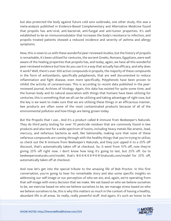but also protected the body against future cold sore outbreaks, one other study, this was a meta-analysis published in Evidence-Based Complementary and Alternative Medicine found that propolis has anti-viral, anti-bacterial, anti-fungal and anti-tumor properties. It's well established to be an immunomodulator that increases the body's resistance to infection, and propolis treated patients showed a reduced incidence and severity of asthma and allergy symptoms.

Now, this is news to us with these wonderful peer-reviewed studies, but the history of propolis is remarkable, it's been utilized for centuries, the ancient Greeks, Romans, Egyptians, were well aware of the healing properties that propolis has, and today, again, we have all this wonderful peer-reviewed evidence but how do you use it in a way that actually has efficacy, and why does it work? Well, there's over 300 active compounds in propolis, the majority of these compounds in the form of antioxidants, specifically polyphenols, that are well documented to reduce inflammation and fight disease, even more specifically, Polyphenols have been proven to inhibit the activity of coronaviruses. This is according to recent data published in the peerreviewed journal, Archives of Virology. Again, this data has existed for quite some time, and the human body and its natural association with things that humans have been utilizing for centuries, this is something that we all can be utilizing and taking advantage of right now, but the key is we want to make sure that we are utilizing these things in an efficacious manner, bee products are often some of the most contaminated products because of all of the environmental pollution and how things are being grown today.

But the Propolis that I use... And it's a product called B immune from Beekeeper's Naturals. They do third party testing for over 70 pesticide residues that are commonly found in bee products and also test for a wide spectrum of toxins, including heavy metals like arsenic, lead, mercury, and nefarious bacteria as well, like Salmonella, making sure that none of these nefarious compounds are coming through with the healthy things that you're trying to utilize, so check out the B immune from Beekeeper's Naturals, and they just upped it to a 25% off discount, that's automatically taken off at checkout. So, it went from 15% off, now they're giving 25% off right now. I don't know how long it's going to last, but 25% off. Go to beekeepersnaturals.com/model, that's B-E-E-K-E-E-P-E-R-Snaturals.com/model for 25% off, automatically taken off at checkout.

And now let's get into the special tribute to the amazing life of Bob Proctor. In this first conversation, you're going to hear his remarkable story and also some specific insights on addressing our self-image or our perception of who we are, and, again, we're operating from that self-image with every decision that we make. We eat based on who we believe ourselves to be, we exercise based on who we believe ourselves to be, we manage stress based on who we believe ourselves to be, this is why this matters so much in the context of having a healthy, [abundant life in all areas. So really, really powerful stuff. And again, it](https://themodelhealthshow.com/podcasts/remembering-bob-proctor/)'[s such an honor to be](https://themodelhealthshow.com/podcasts/remembering-bob-proctor/)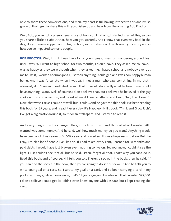able to share these conversations, and man, my heart is full having listened to this and I'm so grateful that I get to share this with you. Listen up and hear from the amazing Bob Proctor.

Well, Bob, you've got a phenomenal story of how you kind of got started in all of this, so can you share a little bit about that, how you got started... And I know that even way back in the day, like you even dropped out of high school, so just take us a little through your story and in how you've impacted so many people.

**BOB PROCTOR:** Well, I think I was like a lot of young guys, I was just wandering around, lost until I was 26. I went to high school for two months, I didn't leave. They asked me to leave. I was as happy as they were though when they asked me, I hated school and nobody ever got me to like it, I worked at dumb jobs, I just took anything I could get, and I was non-happy human being. And I was fortunate when I was 26, I met a man who saw something in me that I obviously didn't see in myself. And he said that if I would do exactly what he taught me I could have anything I want. Well, of course, I didn't believe that, but I believed he believed it, the guy spoke with such conviction, and he asked me if I read anything, and I said, "No, I can't read"... Now, that wasn't true, I could not well, but I could... And he gave me this book, I've been reading this book for 55 years, and I read it every day. It's Napoleon Hill's book, "Think and Grow Rich", I've got a big elastic around it, so it doesn't fall apart. And I started to read it.

And everything in my life changed. He got me to sit down and think of what I wanted. All I wanted was some money. And he said, well how much money do you want? Anything would have been a lot. I was earning \$4000 a year and I owed six. It was a hopeless situation. But like I say, I think a lot of people live like this. If I had taken every cent, I earned for 18 months and paid debts, I would have just broken even, nothing to live on. So, you know, I couldn't see the light, I just couldn't see it at all, but he said, Listen, forget all that. That's why you can't do it. Read this book, and of course, Hill tells you to... There's a secret in the book, then he said, "If you can find the secret in the book, then you're going to do seriously well." And he tells you to write your goal on a card. So, I wrote my goal on a card, and I'd been carrying a card in my pocket with my goal on it ever since, that's 55 years ago, and I wrote on it that I wanted \$25,000. I didn't believe I could get it; I didn't even know anyone with \$25,000, but I kept reading the card.

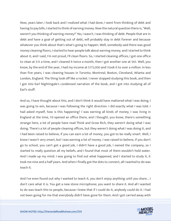Now, years later, I look back and I realized what I had done, I went from thinking of debt and having to pay bills, I started to think of earning money. Now the natural question there is, "Well, weren't you thinking of earning money?" No, I wasn't, I was thinking of debt. People that are in debt and have a goal of getting out of debt, will probably stay in debt forever and because whatever you think about that's what's going to happen. Well, somebody said there was good money cleaning floors, I started to hear people talk about earning money, and I started to think about it, and I said, I'm not proud, I'll clean floors. So, I started cleaning offices, I got one office to clean at \$15 a time, and I cleaned it twice a month, then I got another one at \$65. Well, you know, by the end of the year, I had my income at \$175,000 and I took it to over a million. In less than five years, I was cleaning houses in Toronto, Montreal, Boston, Cleveland, Atlanta and London, England. The thing took off like a rocket. I never stopped studying this book, and then I got into Earl Nightingale's condensed narration of the book, and I got into studying all of Earl's stuff.

And so, I have thought about this, and I don't think it would have mattered what I was doing, I was going to win, because I was following the right direction. I did exactly what I was told. I had asked myself, how is this happening? I was earning all kinds of money, I was living in England at the time, I'd opened an office there, and I thought, you know, there's something strange here, a lot of people have read Think and Grow Rich, they weren't doing what I was doing. There's a lot of people cleaning offices, but they weren't doing what I was doing it, and I had been raised to believe, if you can earn a lot of money, you got to be really smart. Well, I know I wasn't very smart, but I was earning a lot of money. I was raised to believe, if you don't go to school, you can't get a good job, I didn't have a good job, I owned the company, so I started to really question all my beliefs, and I found that most of them wouldn't hold water. And I made up my mind. I was going to find out what happened, and I started to study it, it took me nine and a half years. And when I finally got the dots to connect, all I wanted to do was teach it.

And I've even found out why I wanted to teach it, you don't enjoy anything until you share... I don't care what it is. You get a new stone microphone; you want to share it. And all I wanted to do was teach this to people, because I knew that if I could do it, anybody could do it. I had [not been going for me that everybody didn](https://themodelhealthshow.com/podcasts/remembering-bob-proctor/)'[t have gone for them. And I got carried away with](https://themodelhealthshow.com/podcasts/remembering-bob-proctor/)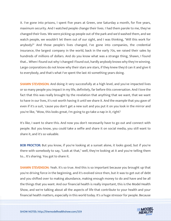it. I've gone into prisons, I spent five years at Green, one Saturday a month, for five years, maximum security. And I watched people change their lives. I had them parole to me, they've changed their lives. We were picking up people out of the park and we'd washed them, and we watch people, we wouldn't let them out of our sight, and I was thinking, "Will this work for anybody?" And those people's lives changed, I've gone into companies, the credential insurance, the largest company in the world, back in the early 70s, we raised their sales by hundreds of millions of dollars. And do you know what was a strange thing, Shawn, I found that... When I found out why I changed I found out, hardly anybody knows why they're winning. Large corporations do not know why their stars are stars, if they knew they'd can it and give it to everybody, and that's what I've spent the last 40 something years doing.

**SHAWN STEVENSON:** And doing it very successfully at a high level, and you've impacted lives or so many people you impact in my life, definitely, far before this conversation. And I love the fact that this was really brought by the revelation that anything that we want, that we want to have in our lives, it's not worth having it until we share it. And the example that you gave of even if it's a suit, 'cause you don't get a new suit and you put it on you look in the mirror and you're like, "Wow, this looks great, I'm going to go take a nap in it, right?

It's like, I want to share this. And now you don't necessarily have to go out and connect with people. But you know, you could take a selfie and share it on social media, you still want to share it, and it's so valuable.

BOB PROCTOR: But you know, if you're looking at a sunset alone, it looks good, but if you're there with somebody to say, "Look at that," well, they're looking at it and you're telling them to... It's sharing. You got to share it.

**SHAWN STEVENSON:** Yeah. It's so true. And this is so important because you brought up that you're driving force in the beginning, and it's evolved since then, but it was to get out of debt and you shifted over to making abundance, making enough money to do and have and be all the things that you want. And our financial health is really important, this is the Model Health Show, and we're talking about all the aspects of life that contribute to your health and your [financial health matters, especially in this world today. It](https://themodelhealthshow.com/podcasts/remembering-bob-proctor/)'[s a huge stressor for people. Because](https://themodelhealthshow.com/podcasts/remembering-bob-proctor/)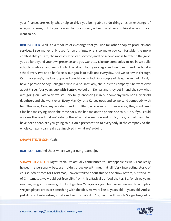your finances are really what help to drive you being able to do things, it's an exchange of energy for sure, but it's just a way that our society is built, whether you like it or not, if you want to be...

BOB PROCTOR: Well, it's a medium of exchange that you use for other people's products and services. I see money only used for two things, one is to make you comfortable, the more comfortable you are, the more creative can become, and the second one is to extend the good you do far beyond your own presence, and you want to... Like our companies locked in, we build schools in Africa, and we got into this about four years ago, and we love it, and we build a school every two and a half weeks, our goal is to build one every day. And we do it with through Cynthia Kersey's, the Unstoppable Foundation. In fact, in a couple of days, we've had... First, I have a partner, Sandy Gallagher, who is a brilliant lady, she runs the company. She went over about three, four years ago with Sentry, we built in Kenya, and they get in and she saw what was going on. Last year, we set Cory Kelly, another girl in our company with her 15-year-old daughter, and she went over. Every May Cynthia Kersey goes and so we send somebody with her. This year, Gina, my assistant, and Kim Klein, who is in our finance area, they went. And Gina had me crying when she came back, she had me on the phone, she said, "Bob, if you could only see the good that we're doing there," and she went on and on. So, the group of them that have been there, are you going to put on a presentation to everybody in the company so the whole company can really get involved in what we're doing.

#### SHAWN STEVENSON: Yeah.

BOB PROCTOR: And that's where we get our greatest joy.

**SHAWN STEVENSON:** Right. Yeah, I've actually contributed to unstoppable as well. That really helped me personally because I didn't grow up with much at all. Very interesting story, of course, oftentimes for Christmas, I haven't talked about this on the show before, but for a lot of Christmases, we would get free gifts from this... Basically a food shelter. So, for three years in a row, we got the same gift... I kept getting Yatzi, every year, but I never learned how to play. We just played craps or something with the dice, we were like 10 years old, 11 years old. And so [just different interesting situations like this... We didn](https://themodelhealthshow.com/podcasts/remembering-bob-proctor/)'[t grow up with much. So, getting out of](https://themodelhealthshow.com/podcasts/remembering-bob-proctor/)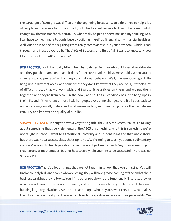the paradigm of struggle was difficult in the beginning because I would do things to help a lot of people and receive a lot coming back, but I find a creative way to lose it, because I didn't change my thermostat for this stuff. So, what really helped to serve me, and my thinking was, I can have so much more to contribute by building myself up financially, my financial health as well. And this is one of the big things that really comes across it in your new book, which I read through, and I just devoured it, 'The ABCs of Success', and first of all, I want to know why you titled the book 'The ABCs of Success'.

BOB PROCTOR: I didn't actually title it, but that patcher Penguin who published it world-wide and they put that name on it, and it does fit because I had the idea, we should... When you to change a paradigm, you're changing your habitual behavior. Well, if everybody's got little hang-ups in different areas, and sometimes they don't know what they are. So, I just took a lot of different ideas that we work with, and I wrote little articles on them, and we put them together, and they're from A to Z in the book, and so it fits. Everybody has little hang-ups in their life, and if they change those little hang-ups, everything changes. And it all goes back to understanding ourself, understand what makes us tick, and then trying to live the best life we can... Try and improve the quality of our life.

**SHAWN STEVENSON: I thought it was a very fitting title, the ABCS of success, 'cause it's talking** about something that's very elementary, the ABCS of something. And this is something we're not taught in school. I went to a traditional university and student loans and that whole story, but there was not a success class, that's up to you. We're going to teach you some rudimentary skills, we're going to teach you about a particular subject matter with English or something of that nature, or mathematics, but not how to apply it in your life to be successful. There was no Success 101.

BOB PROCTOR: There's a lot of things that are not taught in school, that we're missing. You will find absolutely brilliant people who are losing, they will have grease coming off the end of their business card, but they're broke. You'll find other people who are functionally illiterate, they've never even learned how to read or write, and yet, they may be any millions of dollars and building large organizations. We do not teach people who they are, what they are, what makes [them tick, we don](https://themodelhealthshow.com/podcasts/remembering-bob-proctor/)'[t really get them in touch with the spiritual essence of their personality. We](https://themodelhealthshow.com/podcasts/remembering-bob-proctor/)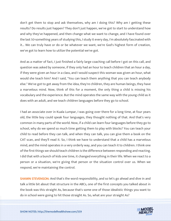don't get them to stop and ask themselves, why am I doing this? Why am I getting these results? Do results just happen? They don't just happen, we've got to start to understand how and why they've happened, and then change what we want to change, and I have found over the last 50-something years of studying this, I study it every day, I'm absolutely fascinated with it... We can truly have or do or be whatever we want, we're God's highest form of creation, we've got to learn how to utilize the potential we've got.

And as a matter of fact, I just finished a fairly large coaching call before I got on this call, and question was asked by someone, if they only had an hour to teach children that an hour a day, if they were given an hour in a class, and I would suspect this woman was given an hour, what would she teach him? And I said, "You can teach them anything that you can teach anybody else." We've got to get away from the idea, they're children, they are human beings, they have a marvelous mind. Now, think of this for a moment, the only thing a child is missing his vocabulary and the experience. But the mind operates the same way with the young child as it does with an adult, and we teach children languages before they go to school.

I had an associate over in Kuala Lumpar, I was going over there for a long time, at four years old, the little boy could speak four languages, they thought nothing of that. And that's very common in many parts of the world. Now, if a child can learn four languages before they go to school, why do we spend so much time getting them to play with blocks? You can teach your child to read before they can talk, and when they can talk, you can give them a book on the CAT scan, and they'll read it. So, I think we have to understand that a child has a marvelous mind, and the mind operates in a very orderly way, and you can teach it to children. I think one of the first things we should teach children is the difference between responding and reacting. I did that with a bunch of kids one time, it changed everything in their life. When we react to a person or a situation, we're giving that person or the situation control over us. When we respond, we're maintaining the control.

SHAWN STEVENSON: And that's the word responsibility, and so let's go ahead and dive in and talk a little bit about that structure in the ABCs, one of the first concepts you talked about in the book was this straight As, because that's some one of those idealistic things you want to [do in school were going to hit those straight As. So, what are your straight As?](https://themodelhealthshow.com/podcasts/remembering-bob-proctor/)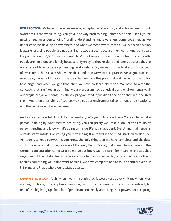BOB PROCTOR: We have in here, awareness, acceptance, alteration, and achievement. I think awareness is the whole thing. You go all the way back to King Solomon, he said, "In all you're getting, get an understanding." Well, understanding and awareness come together, as we understand, we develop an awareness, and when we come aware, that's all we ever can develop is awareness. Like people are not earning 100,000 a year because they want hundred a year, they're earning 100,000 years because they're not aware of how to earn a hundred a month. People are not alone and lonely because they enjoy it, they're alone and lonely because they're not aware of how to develop meaning relationships. So, we want to understand this concept of awareness, that's really what we're after, and then we want acceptance. We've got to accept new ideas, we've got to accept the idea that we have this potential and we've got the ability to change, and when we get that, then we have to learn alteration. We have to alter the concepts that are fixed in our mind, we are programmed genetically and environmentally, all our prejudices, all our hang-ups, they're programmed in, we didn't decide on that, we inherited them. And then after birth, of course, we've got our environmental conditions and situations, and the last A would be achievement.

And you can always tell, I think, by the results, you're going to know them. You can tell what a person is doing by what they're achieving, you can pretty well take a look at the results of person's getting and know what's going on inside. It's not an accident. Everything that happens outside starts inside. Everything you're teaching. It all starts in the mind, starts with attitude. Attitude is to keep everything, you know, the only thing that we have complete and absolute control over is our attitude, our way of thinking. Viktor Frankl, that spent the war years in the German concentration camp wrote a marvelous book, 'Man's search for meaning'. He said that regardless of the intellectual or physical abuse he was subjected to, no one could cause them to think something you didn't want to think. We have complete and absolute control over our thinking, and that's where our attitude starts.

SHAWN STEVENSON: Yeah, when I went through that, it would very quickly hit me when I was reading the book, the acceptance was a big one for me, because I've seen this consistently be one of the big hang-ups for a lot of people and not really accepting their power, not accepting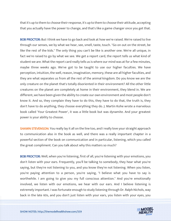that it's up to them to choose their response, it's up to them to choose their attitude, accepting that you actually have the power to change, and that's like a game changer once you get that.

BOB PROCTOR: But I think we have to go back and look at how we're raised. We're raised to live through our senses, we by what we hear, see, smell, taste, touch. "Go on out on the street, be like the rest of the kids." The only thing you can't be like is another one. We're all unique, in fact we're raised to go by what we see. We get a report card, the report tells us what kind of student we are. What the report card really tells us is where our mind was at for a few minutes, maybe three weeks ago. We've got to be taught to use our higher faculties. We have perception, intuition, the well, reason, imagination, memory, these are all higher faculties, and they are what separates us from all the rest of the animal kingdom. Do you know we are the only creature on the planet that's totally disoriented in their environment? All the other little creatures on the planet are completely at home in their environment, they blend in. We are different, we have been given the ability to create our own environment and most people don't know it. And so, they complain they have to do this, they have to do that, the truth is, they don't have to do anything, they choose everything they do. J. Martin Kohe wrote a marvelous book called 'Your Greatest Power', it was a little book but was dynamite. And your greatest power is your ability to choose.

**SHAWN STEVENSON:** You really lay it all on the line too, and I really love your straight approach to communication also in the book as well, and there was a really important chapter in a powerful section of the book on communication and in particular, listening, which you called the great compliment. Can you talk about why this matters so much?

BOB PROCTOR: Well, when you're listening, first of all, you're listening with your emotions, you don't listen with your ears. Frequently, you'll be talking to somebody, they hear what you're saying, but they're not listening to you, and you know they're not listening. When you listen, you're paying attention to a person, you're saying, "I believe what you have to say is worthwhile. I am going to give you my full conscious attention." And you're emotionally involved, we listen with our emotions, we hear with our ears. And I believe listening is extremely important. I was fortunate enough to study listening through Dr. Ralph Nichols, way [back in the late 60s, and you don](https://themodelhealthshow.com/podcasts/remembering-bob-proctor/)'[t just listen with your ears, you listen with your eyes, you](https://themodelhealthshow.com/podcasts/remembering-bob-proctor/)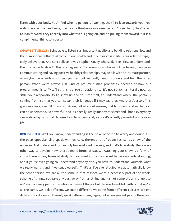listen with your body. You'll find when a person is listening, they'll to lean towards you. You watch people in an audience, maybe in a theater or in a seminar, you'll see them, they'll start to lean forward, they're really into whatever is going on, and it's pulling them toward it. It is a compliment, I think, to a person.

**SHAWN STEVENSON:** Being able to listen is an important quality and building relationships, and the number one influential factor in our health and in our success in life is our relationships, I truly believe that. And so, I believe it was Stephen Covey who said, "Seek first to understand, then to be understood." This is a big secret for everybody who might be having trouble in communicating and having positive healthy relationships, maybe it is with an intimate partner, or maybe it was with a business partner, but we really need to understand first the other person. When we're always just kind of natural human propensity because of how our programmed, is to "Me, first, this is a 50-50 relationship." It's not 50-50, it's literally not. It's 100% your responsibility to show up and to listen first, to understand where the person's coming from, so that you can speak their language if I may say that. And there's also... This goes way back, even St. Francis of Assisi, talked about seeking first to understand so that you can be understood. So powerful, and it's a really, really important secret and I hope everybody can walk away with that, to seek first to understand, 'cause it's a really powerful principle in life.

BOB PROCTOR: Well, you know, understanding is the polar opposite to worry and doubt, it is the polar opposite. Like up, down, hot, cold, there's a lot of opposites, so it's a law of the universe. And understanding can only be developed one way, and that's true study, there is no other way to develop now, there's many forms of study... Watching your show is a form of study, there's many forms of study, but you must study if you want to develop understanding, and if you're ever going to understand anybody else, you have to understand yourself, what we really want it and if we study ourself... That's all I've ever studied, we automatically know the other person, we are all the same in that respect, we're a necessary part of the whole scheme of things. You take any part away from anything and it's not complete any longer, so we're a necessary part of the whole scheme of things, but the real beautiful truth is that we're all the same, we look different, we sound different, we come from different cultures, we eat [different food, dress different, speak different languages, but when you get past culture, and](https://themodelhealthshow.com/podcasts/remembering-bob-proctor/) 

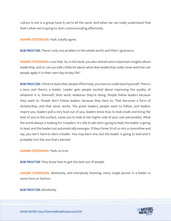culture is not in a group have it, we're all the same. And when we can really understand that that's when we're going to start communicating effectively.

**SHAWN STEVENSON:** Yeah, totally agree.

BOB PROCTOR: There's only one problem in the whole world, and that's ignorance.

SHAWN STEVENSON: Love that. So, in the book, you also shared some important insights about leadership, and so can you talk a little bit about what does leadership really mean and how can people apply it in their own day-to-day life?

BOB PROCTOR: I think to lead other people effectively, you have to understand yourself. There's a boss and there's a leader. Leader gets people excited about improving the quality of whatever it is, themself, their work, whatever they're doing. People follow leaders because they want to. People don't follow leaders because they have to. That becomes a form of dictatorship, and that never works. The great leaders, people want to follow, and leaders inspire you, leaders pull a very bust out of you, leaders know how to look inside and bring the best of you to the surface, cause you to look at the higher side of your own personality. What the world always is looking for is leaders. It's silly to ask who's going to lead, the leader is going to lead, and the leader just automatically emerges. If they threw 50 of us into a committee and say, you don't have to elect a leader. You may elect one, but the leader is going to lead and it probably isn't the one that's elected.

SHAWN STEVENSON: Yeah, so true.

**BOB PROCTOR:** They know how to get the best out of people.

SHAWN STEVENSON: Absolutely, and everybody listening, every single person is a leader in some form or fashion.

BOB PROCTOR: Absolutely.

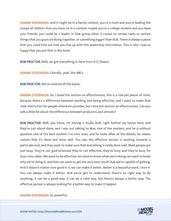**SHAWN STEVENSON:** And it might be in a family context, you're a mom and you're leading the troops of children that you have, or in a context, maybe you're a college student and you have your friends, you could be a leader in that group when it comes to certain tasks or certain things that you guys are doing together, or something bigger than that. There is always a place that you could find out how you line up with this leadership information. This is why I was so happy that you put that in the book.

BOB PROCTOR: Well, we got everything in here from A-Z, Shawn.

SHAWN STEVENSON: Literally, yeah, the ABCs.

BOB PROCTOR: We've covered all the bases.

SHAWN STEVENSON: So, I loved the section on effectiveness, this is a real pet peeve of mine, because there's a difference between working and being effective, and I want to make that clear distinction for people whenever possible, but I love the section on effectiveness. Can you talk a little bit about the difference between producers and almosts?

**BOB PROCTOR:** Well, you know, I'm having a studio built right behind my house here, and they're just about done, and I was out talking to Max, one of the workers, and he is without question one of the best workers I've ever seen, and he looks after all the details, he makes certain that it's done and done well. You see, the effective person is working towards a particular end, and they want to make sure that everything is really done well. Most people are just busy, they're not goal-oriented, they're not effective, they're busy and they're busy for busy-ness sakes. We want to be effective; we want to know what we're doing, we want to know why we're doing it, and then we want to get the very best result that we're capable of getting. And it doesn't matter how good it is, we can make it better. Better is a beautiful word, I love it. You can always make it better. And we've got to understand, there's no right way to do anything, it can be a good way, it can be a valid way, but there's always a better way. The effective person is always looking for a better way to make it happen.

[SHAWN STEVENSON: So powerful.](https://themodelhealthshow.com/podcasts/remembering-bob-proctor/)

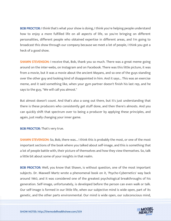BOB PROCTOR: I think that's what your show is doing, I think you're helping people understand how to enjoy a more fulfilled life on all aspects of life, so you're bringing on different personalities, different people who obtained expertise in different areas, and I'm going to broadcast this show through our company because we meet a lot of people, I think you got a heck of a good show.

SHAWN STEVENSON: I receive that, Bob, thank you so much. There was a great meme going around on the inter-webs, on Instagram and on Facebook. There was this little picture, it was from a movie, but it was a movie about the ancient Mayans, and so one of the guys standing over the other guy and looking kind of disappointed in him. And it says... This was an exercise meme, and it said something like, when your gym partner doesn't finish his last rep, and he says to the guy, "We will call you almost."

But almost doesn't count. And that's also a song out there, but it's just understanding that there is these producers who consistently get stuff done, and then there's almosts. And you can quickly shift that spectrum over to being a producer by applying these principles, and again, just really changing your inner game.

BOB PROCTOR: That's very true.

**SHAWN STEVENSON:** So, Bob, there was... I think this is probably the most, or one of the most important sections of the book where you talked about self-image, and this is something that a lot of people battle with, their picture of themselves and how they view themselves. So, talk a little bit about some of your insights in that realm.

BOB PROCTOR: Well, you know that Shawn, is without question, one of the most important subjects. Dr. Maxwell Martz wrote a phenomenal book on it, 'Psycho-Cybernetics' way back around 1960, and it was considered one of the greatest psychological breakthroughs of his generation. Self-image, unfortunately, is developed before the person can even walk or talk. Our self-image is formed in our little life, when our subjective mind is wide open, part of its [genetic, and the other parts environmental. Our mind is wide open, our subconscious mind,](https://themodelhealthshow.com/podcasts/remembering-bob-proctor/)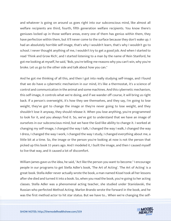and whatever is going on around us goes right into our subconscious mind, like almost all welfare recipients are third, fourth, fifth generation welfare recipients. You know there's geniuses locked up in those welfare areas, every one of them has genius within them, they have perfection within them, but it'll never come to the surface because they don't wake up. I had an absolutely horrible self-image, that's why I wouldn't learn, that's why I wouldn't go to school. I never thought anything of me, I wouldn't try to get a good job. And when I started to read 'Think and Grow Rich', and I started listening to a man by the name of Rein Stanford, he got me looking at myself, he said, "Bob, you're telling me reasons why you can't win, why you're broke. Let us go to the other side and talk about how you can."

And he got me thinking of all this, and then I got into really studying self-image, and I found that we do have a cybernetic mechanism in our mind, it's like a thermostat, it's a science of control and communication in the animal and some machines. And this cybernetic mechanism, this self-image, it controls what we're doing, and if we wander off course, it will bring us right back. If a person's overweight, it's how they see themselves, and they say, I'm going to lose weight, they've got to change the image or they're never going to lose weight, and they shouldn't lose it anyway, they should release it. When you lose anything, you're programmed to look for it, and you always find it. So, we've got to understand that we have an image of ourselves in our subconscious mind, but we have the God-like ability to change it. I worked at changing my self-image, I changed the way I talk, I changed the way I walk, I changed the way I dress, I changed the way I work, I changed the way I study, I changed everything about me, a little bit at a time. So, the image or the person you're looking at now is not the person that picked up this book 55 years ago. And I modeled it, I built the image, and then I caused myself to live that way, and it caused a lot of discomfort.

William James gave us the idea, he said, "Act like the person you want to become." I encourage people in our programs to get Stella Adler's book, 'The Art of Acting'. 'The Art of Acting' is a great book. Stella Adler never actually wrote the book, a man named Kissel took all her lessons after she died and turned it into a book. So, when you read the book, you're going to her acting classes. Stella Adler was a phenomenal acting teacher, she studied under Stanislavski, the Russian who perfected Method Acting. Marlon Brando wrote the forward in the book, and he [was the first method actor to hit star status. But we have to... When we](https://themodelhealthshow.com/podcasts/remembering-bob-proctor/)'[re changing the self-](https://themodelhealthshow.com/podcasts/remembering-bob-proctor/)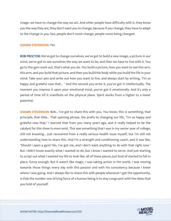image, we have to change the way we act. And other people have difficulty with it, they know you the way they are, they don't want you to change, because if you change, they have to adapt to the change in you. See, people don't resist change, people resist being changed.

#### SHAWN STEVENSON: Yes.

BOB PROCTOR: We've got to change ourselves, we've got to build a new image, a picture in our mind, we've got to see ourselves the way we want to be, and then we have to live with it. You go to the gym work out, that's what you do. You build a picture, how you want to see this arm, this arm, and you build that picture, and then you build the body while you build the life in your mind. Take your pen and write out how you want to live, and always start by writing, "I'm so happy and grateful now that... " And the second you write it, you've got it intellectually. The moment you impress it upon your emotional mind, you've got it emotionally. And it's only a period of time till it manifests on the physical plane. Spirit works from a higher to a lower potential.

**SHAWN STEVENSON:** Bob... I've got to share this with you. You know, this is something, that principle, that little... That opening phrase, the prefix to changing our life, "I'm so happy and grateful now that," I learned that from you many years ago, and it really helped to be the catalyst for this show to even exist. This was something that I was in my senior year of college, still not knowing... Just recovered from a really serious health issue myself, but I'm still not understanding how to share this. And I'm a strength and conditioning coach, and it was like, "Should I open a gym? No, I've got me, and I don't want anything to do with that right now." But I didn't know exactly what I wanted to do, but I know I wanted to serve. And just starting to script out what I wanted my life to look like, all of these pieces just kind of started to fall in place, funny enough. But it wasn't like magic, I was taking action in the world, I was moving towards those things every day with this passion and with his consistency because I knew where I was going. And I always like to share this with people whenever I get the opportunity, is that the number one driving force of a human being is to stay congruent with the ideas that you hold of yourself.

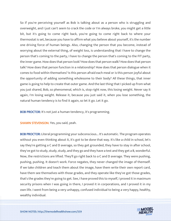So if you're perceiving yourself as Bob is talking about as a person who is struggling and overweight, and I just can't seem to crack the code or I'm always broke, you might get a little bit, but it's going to come right back, you're going to come right back to where your thermostat is set, because you have to affirm what you believe about yourself, it's the number one driving force of human beings. Also, changing the person that you become, instead of worrying about the external thing, of weight loss, is understanding that I have to change the person that's coming to the party, I have to change the person that's coming to the FIT party, the inner game. How does that person look? How does that person walk? How does that person talk? How does that person function in a relationship? How does that person dialogue when it comes to food within themselves? Is this person afraid each meal or is this person joyful about the opportunity of adding something wholesome to their body? All these things, that inner game is going to help to create that outer game. And the last thing that I picked up from what you just shared, Bob, so phenomenal, which is, stop right now, this losing weight. Never say it again, I'm losing weight. Release it, because you just said it, when you lose something, the natural human tendency is to find it again, so let it go. Let it go.

**BOB PROCTOR:** It's not just a human tendency, it's programming.

SHAWN STEVENSON: Yes, you said, yeah.

BOB PROCTOR: Literal programming your subconscious... It's automatic. The program operates without you even thinking about it, it's got to be done that way. It's like a child in school, let's say they're getting a C and D average, so they get grounded, they have to stay in after school, they've got to study, study, study, and they go and they have a test and they get a B, wonderful. Now, the restrictions are lifted. They'll go right back to a C and D average. They were pushing, pushing, pushing. It doesn't work. Force negates, they never changed the image of themself. If we take children and teach them about the image, have them write their own report card, have them see themselves with those grades, and they operate like they've got those grades, that's the grades they're going to get. See, I have proved this to myself, I proved it in maximum security prisons when I was going in there, I proved it in corporations, and I proved it in my own life. I went from being a very unhappy, confused individual to being a very happy, healthy, [wealthy individual.](https://themodelhealthshow.com/podcasts/remembering-bob-proctor/)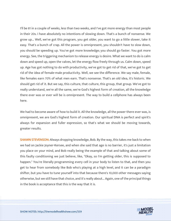I'll be 81 in a couple of weeks, less than two weeks, and I've got more energy than most people in their 20s. I have absolutely no intentions of slowing down. That's a bunch of nonsense. We grow up... Well, we've got this program, you get older, you want to go a little slower, take it easy. That's a bunch of crap. All the power is omnipresent, you shouldn't have to slow down, you should be speeding up. You've got more knowledge; you should go faster. You got more energy. See, the triggering mechanism to release energy is desire. What we want to do is calm down and speed up, open the valves, let the energy flow freely through us. Calm down, speed up. Age has got nothing to do with productivity, we've got to get rid of that, we've got to get rid of the idea of female-male productivity. Well, we see the difference. We say male, female, like females earn 70% of what men earn. That's nonsense. That's an old idea, it's historic. We should get rid of it. But we say, this culture, that culture, this group, that group. We've got to really understand, we're all the same, we're God's highest form of creation, all the knowledge there ever was or ever will be is omnipresent. The way to build a cellphone has always been here.

We had to become aware of how to build it. All the knowledge, all the power there ever was, is omnipresent, we are God's highest form of creation. Our spiritual DNA is perfect and spirit's always for expansion and fuller expression, so that's what we should be moving towards, greater results.

**SHAWN STEVENSON:** Always dropping knowledge, Bob. By the way, this takes me back to when we had on Jackie Joyner-Kersee, and when she said that age is no barrier, it's just a limitation you place on your mind, and Bob really being the example of that and talking about some of this faulty conditioning we just believe, like, "Okay, so I'm getting older, this is supposed to happen." You're literally programming every cell in your body to listen to that, and then you get to hear from somebody like Bob who's playing at a high level, and it can be a paradigm shifter, but you have to tune yourself into that because there's 10,000 other messages saying otherwise, but we still have that choice, and it's really about... Again, one of the principal things in the book is acceptance that this is the way that it is.

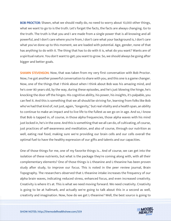**BOB PROCTOR:** Shawn, what we should really do, no need to worry about 10,000 other things, what we want to go to is the truth. Let's forget the facts, the facts are always changing. Go to the truth. The truth is that you and I are made from a single power that is all knowing and all powerful, and I don't care where you're from, I don't care what your background is, I don't care what you've done up to this moment, we are loaded with potential. Age, gender, none of that has anything to do with it. The thing that has to do with it is, what do you want? Wants are of a spiritual nature. You don't want to get; you want to grow. So, we should always be going after bigger and better goals.

SHAWN STEVENSON: Now, that was taken from my very first conversation with Bob Proctor. Now, I've got another powerful conversation to share with you, and this one is a game changer. Now, one of the things that I think about when I think about Bob was his amazing mind, and he's over 80 years old, by the way, during these episodes, and he's just blowing the hinge, he's knocking the door off the hinges. His cognitive ability, his power, his insights, it's palpable, you can feel it. And this is something that we all should be striving for, learning from folks like Bob who've had that kind of, not just, again, "longevity," but real vitality and a health span, an ability to continue to make an impact and to live life to the fullest as we go on in age. And so, I know that Bob is tapped in, of course, in those alpha frequencies, those alpha waves with his mind just locked in, he's in the zone. And this is something that we all can do, of cultivating, of course, just practices of self-awareness and meditation, and also of course, through our nutrition as well, eating real food, making sure we're providing our brain cells and our cells overall the optimal fuel to have the healthy expression of our gifts and talents and our capacities.

One of those things for me, one of my favorite things is... And of course, we can get into the isolation of these nutrients, but what is the package they're coming along with, with all their complementary elements? One of those things is L-theanine and L-theanine has been proven study after study, to improve our focus. This is noted in the peer review journal, Brain Topography. The researchers observed that L-theanine intake increases the frequency of our alpha brain waves, indicating reduced stress, enhanced focus, and even increased creativity. Creativity is where it's at. This is what we need moving forward. We need creativity. Creativity is going to be at hallmark, and actually we're going to talk about this in a second as well, [creativity and imagination. Now, how do we get L-theanine? Well, the best source is going to](https://themodelhealthshow.com/podcasts/remembering-bob-proctor/)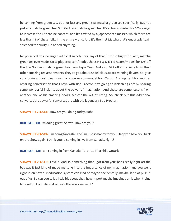be coming from green tea, but not just any green tea, matcha green tea specifically. But not just any matcha green tea, Sun Goddess matcha green tea. It's actually shaded for 35% longer to increase the L-theanine content, and it's crafted by a Japanese tea master, which there are less than 15 of these folks in the entire world. And it's the first Matcha that's quadruple toxin screened for purity. No added anything.

No preservatives, no sugar, artificial sweeteners, any of that, just the highest quality matcha green tea ever made. Go to piquetea.com/model, that's P-I-Q-U-E-T-E-A.com/model, for 10% off the Sun Goddess matcha green tea from Pique Teas. And also, 10% off store-wide from their other amazing tea assortments, they've got about 20 delicious award-winning flavors. So, give your brain a boost, head over to piquetea.com/model for 10% off. And up next for another amazing conversation that I have with Bob Proctor, he's going to kick things off by sharing some wonderful insights about the power of imagination. And these are some lessons from another one of his amazing books, Master the Art of Living. So, check out this additional conversation, powerful conversation, with the legendary Bob Proctor.

SHAWN STEVENSON: How are you doing today, Bob?

BOB PROCTOR: I'm doing great, Shawn. How are you?

SHAWN STEVENSON: I'm doing fantastic, and I'm just so happy for you. Happy to have you back on the show again. I think you're coming in live from Canada, right?

BOB PROCTOR: I am coming in from Canada, Toronto, Thornhill, Ontario.

**SHAWN STEVENSON:** Love it. And so, something that I got from your book really right off the bat was it just kind of made me tune into the importance of my imagination, and you went right in on how our education system can kind of maybe accidentally, maybe, kind of push it out of us. So can you talk a little bit about that, how important the imagination is when trying to construct our life and achieve the goals we want?

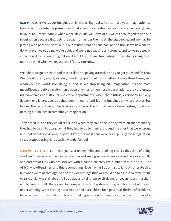**BOB PROCTOR:** Well, your imagination is everything really. You can use your imagination to bring the future into the present, and that alters the vibration you're in, and alters everything in your life. Unfortunately, when we're little kids, well, first of all, we're encouraged to use our imagination because that gets the soap from under their feet, the big people, and we may be playing with pots and pans, but in our mind it's not pot and pan, and so they leave us alone to do whatever we're doing, we're quiet and we're not causing any trouble, and so we're actually encouraged to use our imagination, it would be, I think, fascinating to see what's going on in our little mind when we're just on all fours. You know?

Well then, we go to school and that's called not paying attention and you get punished for that. Well, a kid's pretty smart, you only have to get punished for something two or three times, and whatever it is, you'll stop doing it, and so we stop using our imagination. It's the most magnificent creative faculty man's been given, and then here we are, adults, they are great, big companies and little, tiny creative departments, when the truth is, everybody in every department is creative, but they don't know it, and it's the imagination where everything begins, the radio that you're broadcasting on or the TV that you're broadcasting on, it was nothing but an idea in somebody's imagination.

They tuned in, and they could see it, and when they could see it, they were on the frequency they had to be on to attract what they had to do to manifest it. And the ones that were strong and held on to their visions, they would win, but most of us were beat up using the imagination, so we stopped using it. It's such a wonderful tool.

**SHAWN STEVENSON:** For me, it just sparked my mind and thinking back to that time of being a kid, and then working in clinical practice and seeing so many people over the years, adults and parents of kids who are stricken with a condition, they are dubbed with a title ADD or ADHD. And oftentimes, and this is something I love having Bob or just to kind of reiterate this, but when we're at that age, one of the worst things that you could do to a kid is to tame them, to take a kid who's all about full out play and tell them to sit down for seven hours in a chair and behave himself. Things are changing in the school system slowly, which surely, but it's just understanding, we're setting ourselves up and our children for a potential lifetime of problems [because even if they make it through that type of conditioning to go back and to truly be](https://themodelhealthshow.com/podcasts/remembering-bob-proctor/)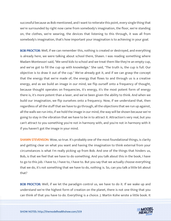successful because as Bob mentioned, and I want to reiterate this point, every single thing that we're surrounded by right now came from somebody's imagination, the floor, we're standing on, the clothes, we're wearing, the devices that listening to this through, it was all from somebody's imagination, that's how important your imagination is to achieving in your goal.

BOB PROCTOR: Well, if we can remember this, nothing is created or destroyed, and everything is already here, we were talking about school there, Shawn. I was reading something where Madam Montessori said, "We send kids to school and we treat them like they're an empty cup, and we've got to fill the cup up with knowledge." She said, "The truth is, the cup is full. Our objective is to draw it out of the cup." We've already got it, and if we can grasp the concept that the energy that we're made of, the energy that flows to and through us is a creative energy, and as we build an image in our mind, we flip ourself onto a frequency of thought, because thought operates on frequencies, it's energy, it's the most potent form of energy there is, it's more potent than a laser, and we've been given the ability to think. And when we build our imagination, we flip ourselves onto a frequency. Now, if we understand that, then regardless of all the stuff that we have to go through, all the objections that we run up against, all the walls we run into, if we hold the image in our mind, the way will be shown because we're going to stay in the vibration that we have to be in to attract it. Attraction's very real, but you can't attract to you something you're not in harmony with, and you're not in harmony with it if you haven't got the image in your mind.

**SHAWN STEVENSON:** Wow, so true. It's probably one of the most foundational things, is clarity and getting clear on what you want and having the imagination to think external from your circumstances is what I'm really picking up from Bob. And one of the things that hinders us, Bob, is that we feel that we have to do something. And you talk about this in the book, I have to go to this job. I have to, I have to, I have to. But you say that we actually choose everything that we do, it's not something that we have to do, nothing is. So, can you talk a little bit about that?

BOB PROCTOR: Well, if we let the paradigm control us, we have to do it. If we wake up and understand we're the highest form of creation on the planet, there is not one thing that you [can think of that you have to do. Everything is a choice. J. Martin Kohe wrote a little book. It](https://themodelhealthshow.com/podcasts/remembering-bob-proctor/)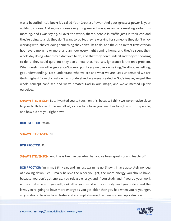was a beautiful little book; it's called Your Greatest Power. And your greatest power is your ability to choose. And so, we choose everything we do. I was speaking at a meeting earlier this morning, and I was saying, all over the world, there's people in traffic jams in their car, and they're going to a job they don't want to go to, they're working for someone they don't enjoy working with, they're doing something they don't like to do, and they'll sit in that traffic for an hour every morning or more, and an hour every night coming home, and they've spent their whole day doing what they didn't love to do, and that they don't understand they're choosing to do it. They could quit. But they don't know that. You see, ignorance is the only problem. When we eliminate the ignorance Solomon put it very well, very wise king, "In all you're getting, get understanding." Let's understand who we are and what we are. Let's understand we are God's highest form of creation. Let's understand, we were created in God's image, we got the whole concept confused and we've created God in our image, and we've messed up for ourselves.

**SHAWN STEVENSON:** Bob, I wanted you to touch on this, because I think we were maybe close to your birthday last time we talked, so how long have you been teaching this stuff to people, and how old are you right now?

BOB PROCTOR: I'm 81.

#### SHAWN STEVENSON: 81.

#### BOB PROCTOR: 81.

SHAWN STEVENSON: And this is like five decades that you've been speaking and teaching?

BOB PROCTOR: I'm in my 55th year, and I'm just warming up, Shawn. I have absolutely no idea of slowing down. See, I really believe the older you get, the more energy you should have, because you don't get energy, you release energy, and if you study and if you do your work and you take care of yourself, look after your mind and your body, and you understand the laws, you're going to have more energy as you get older than you had when you're younger, [so you should be able to go faster and accomplish more, the idea is, speed up, calm down.](https://themodelhealthshow.com/podcasts/remembering-bob-proctor/)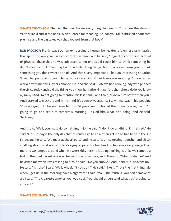**SHAWN STEVENSON:** The fact that we choose everything that we do. You share the story of Viktor Frankl and in the book, 'Man's Search for Meaning'. So, can you talk a little bit about that premise and the big takeaway that you got from that book?

BOB PROCTOR: Frankl was such an extraordinary human being. He's a Viennese psychiatrist that spent the war years in a concentration camp, and he said, "Regardless of the intellectual or physical abuse that he was subjected to, no one could cause him to think something he didn't want to think." You may be forced into doing things, but no one can cause you to think something you don't want to think. And that's very important. I had an interesting situation Shawn happen, and it's going to be more interesting, I think tomorrow morning. Gina, who has worked with me for 30 years phoned me, and she said, "Bob, we had a young lady who phoned the office today and said she thinks you know her father-in-law. And then she said, do you know a Jimmy? And I'm not going to mention his last name, and I said, "I know him better than you." And I started to track around in my mind, it's been 54 years since I saw him. I was in his wedding 58 years ago, but I haven't seen him for 54 years. And I phoned them two days ago, and I'm going to go and see him tomorrow morning. I asked him what he's doing, and he said, "Nothing."

And I said, "Well, you must do something." No, he said, "I don't do anything, I'm retired." He said, "On Tuesday is the only day that I'm busy. I go to an airman's club," he had been in the Air Force, and he said, "We meet at the airport," and he said, "It's nice getting together and chitty chatting about what we did." Here's a guy, apparently, he's healthy, he's one year younger than me, and we jumped around when we were kids, here he is doing nothing. It's like we came to a fork in the road. I went one way, he went the other way, and I thought, "What is shame?" And he asked me when I was talking to him, he said, "Do you smoke?" And I said, "Oh, heavens no." He said, "I smoke." I said, "Well, why don't you quit?" He said, "I like it. That's the first thing I do when I get up in the morning have a cigarette." I said, "Well, the truth is, you don't smoke at all, I said, "The cigarette smokes you; you suck. You should understand what you're doing to yourself."

[SHAWN STEVENSON: Oh, my goodness.](https://themodelhealthshow.com/podcasts/remembering-bob-proctor/)

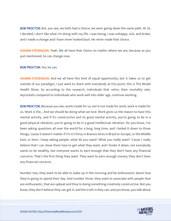BOB PROCTOR: But, you see, we both had a choice, we were going down the same path. At 26, I decided, I don't like what I'm doing with my life. I was losing, I was unhappy, sick, and broke, and I made a change and I have never looked back. He never made that choice.

SHAWN STEVENSON: Yeah. We all have that choice no matter where we are, because as you just mentioned, he can change now.

#### BOB PROCTOR: Yes, he can.

SHAWN STEVENSON: And we all have this kind of equal opportunity, but it takes us to get outside of our paradigm, I just want to share with everybody at this point, this is The Model Health Show. So according to the research, individuals that retire, their mortality rate, skyrockets compared to individuals who work well into older age, continue working.

BOB PROCTOR: Because you see, works made for us, we're not made for work, work is made for us. Work is the... And we should be doing what we love. Work gives us the reason to have this mental activity, and if it's constructive and its good mental activity, you're going to be in a good physical vibration, you're going to be in a good intellectual vibration. Do you know, I've been asking questions all over the world for a long, long time, and I boiled it down to three things, 'cause it doesn't matter if I'm in China, in Buenos Aires in Brazil or Europe, or the Middle East, or here. I keep asking people, what do you want? What you really want? 'Cause I really believe that I can show them how to get what they want, and I broke it down, not everybody wants to be wealthy, but everyone wants to earn enough that they don't have any financial concerns. That's the first thing they want. They want to earn enough money; they don't have any financial concerns.

Number two, they want to be able to wake up in the morning and be enthusiastic about how they're going to spend their day. And number three, they want to associate with people that are enthusiastic, that are upbeat and they're doing something creatively constructive. But you know, they don't believe they can get it, and the truth is they can, and you know, you talk about

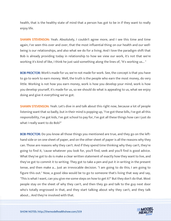health, that is the healthy state of mind that a person has got to be in if they want to really enjoy life.

SHAWN STEVENSON: Yeah. Absolutely, I couldn't agree more, and I see this time and time again, I've seen this over and over, that the most influential thing on our health and our wellbeing is our relationships, and also what we do for a living. And I love the paradigm shift that Bob is already providing today in relationship to how we view our work, it's not that we're working it's kind of like, I think he just said something along the lines of, "It's working us... "

BOB PROCTOR: Work's made for us; we're not made for work. See, the concept is that you have to go to work to earn money. Well, the truth is the people who earn the most money, do very little. Working is not how you earn money, work is how you develop your mind, work is how you develop yourself, it's made for us, so we should do what is appealing to us, what we enjoy doing and give it everything we've got.

**SHAWN STEVENSON:** Yeah. Let's dive in and talk about this right now, because a lot of people listening want that so badly, but in their mind is popping up, "I've got these bills, I've got all this responsibility, I've got kids, I've got school to pay for, I've got all these things how can I just do what I really want to do Bob?"

BOB PROCTOR: Do you know all those things you mentioned are true, and they go on the lefthand side or on one sheet of paper, and on the other sheet of paper is all the reasons why they can. Those are reasons why they can't. And if they spend time thinking why they can't, they're going to find it, 'cause whatever you look for, you'll find, seek and you'll find is good advice. What they've got to do is make a clear written statement of exactly how they want to live, and they've got to commit it to writing. They got to take a pen and put it in writing in the present tense, and then make a... Just an irrevocable decision. "I am going to do this; I am going to figure this out." Now, a good idea would be to go to someone that's living that way and say, "This is what I want, can you give me some steps on how to get it?" But they don't do that. Most people stay on the sheet of why they can't, and then they go and talk to the guy next door who's totally engrossed in that, and they start talking about why they can't, and they talk [about... And they](https://themodelhealthshow.com/podcasts/remembering-bob-proctor/)'[re involved with that.](https://themodelhealthshow.com/podcasts/remembering-bob-proctor/)

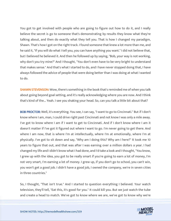You got to get involved with people who are going to figure out how to do it, and I really believe the secret is go to someone that's demonstrating by results they know what they're talking about, and then do exactly what they tell you. That is how I changed my paradigm, Shawn. That's how I got on the right track. I found someone that knew a lot more than me, and he said it, "If you will do what I tell you, you can have anything you want." I did not believe that, but I believed he believed it. And then he followed up by saying, "Bob, your way is not working, why don't you try mine?" And I thought, "You don't even have to be very bright to understand that makes sense." And that's what I started to do, and I have never stopped doing that, I have always followed the advice of people that were doing better than I was doing at what I wanted to do.

**SHAWN STEVENSON:** Wow, there's something in the book that's reminded me of when you talk about going beyond goal setting, and it's really acknowledging where you are now. And I think that's kind of the... Yeah. I see you shaking your head. So, can you talk a little bit about that?

BOB PROCTOR: Well, it's everything. You see, I can say, "I want to go to Cincinnati." But if I don't know where I am, man, I could drive right past Cincinnati and not know I was only a mile away. I've got to know where I am if I want to get to Cincinnati. And if I don't know where I am it doesn't matter if I've got it figured out where I want to go. I'm never going to get there. And where I am now, that is where I'm at intellectually, where I'm at emotionally, where I'm at physically. I've got to sit down and say, "Why am I doing this? Why am I here?" It took me 10 years to figure that out, and that was after I was earning over a million dollars a year. I had changed my life and I didn't know what I had done, and I'd take a look and I thought, "You know, I grew up with the idea, you got to be really smart if you're going to earn a lot of money, I'm not very smart, I'm earning a lot of money. I grew up, if you don't go to school, you can't win, you won't get a good job. I didn't have a good job, I owned the company, we're in seven cities in three countries."

So, I thought, "That isn't true." And I started to question everything I believed. Your watch television, they'll tell, "Eat this, it's good for you." It could kill you. But we just watch the tube [and create a head to match. We](https://themodelhealthshow.com/podcasts/remembering-bob-proctor/)'[ve got to know where we are, we](https://themodelhealthshow.com/podcasts/remembering-bob-proctor/)'[ve got to know why we](https://themodelhealthshow.com/podcasts/remembering-bob-proctor/)'[re](https://themodelhealthshow.com/podcasts/remembering-bob-proctor/)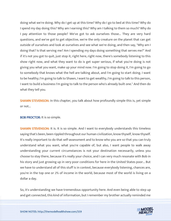doing what we're doing. Why do I get up at this time? Why do I go to bed at this time? Why do I spend my day doing this? Why am I earning this? Why am I talking to them so much? Why do I pay attention to those people? We've got to ask ourselves those... They are very hard questions, and we've got to get objective, we're the only creature on the planet that can get outside of ourselves and look at ourselves and see what we're doing, and then say, "Why am I doing that? Is that serving me? Am I spending my days doing something that serves me?" And if it's not you got to quit, just stop it, right here, right now, there's somebody listening to this show right now, and what they want to do is get super serious, if what you're doing is not giving you what you want, make up your mind now. I'm going to stop doing it, I'm going to go to somebody that knows what the hell are talking about, and I'm going to start doing. I want to be healthy; I'm going to talk to Shawn, I want to get wealthy, I'm going to talk to this person, I want to build a business I'm going to talk to the person who's already built one." And then do what they tell you.

**SHAWN STEVENSON:** In this chapter, you talk about how profoundly simple this is, yet simple or not...

BOB PROCTOR: It is so simple.

**SHAWN STEVENSON:** It is. It is so simple. And I want to everybody understands this timeless saying that's been, been rippled throughout our human civilization, know thyself, know thyself. It's really important to do that self-assessment and to know who you are so that you can truly understand what you want, what you're capable of, but also, I want people to walk away understanding your current circumstances is not your destination necessarily, unless you choose to stay there, because it's really your choice, and I can very much resonate with Bob in his story and just growing up in very poor conditions for here in the United States poor... But we have to understand all of this stuff is in context, because everybody listening, chances are, you're in the top one or 2% of income in the world, because most of the world is living on a dollar a day.

So, it's understanding we have tremendous opportunity here. And even being able to step up [and get connected, this kind of information, but I remember my brother actually reminded me](https://themodelhealthshow.com/podcasts/remembering-bob-proctor/) 

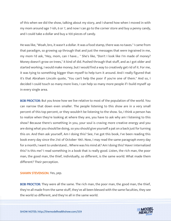of this when we did the show, talking about my story, and I shared how when I moved in with my mom around age 7-ish, 6 or 7, and now I can go to the corner store and buy a penny candy, and I could take a dollar and buy a 100 pieces of candy.

He was like, "Woah, bro, it wasn't a dollar. It was a food stamp, there was no taxes." I came from that paradigm, so growing up through that and just the messages that were ingrained in me, my mom I'd ask, "Hey, mom, can I have... " She's like, "Don't I look like I'm made of money? Money doesn't grow on trees," it kind of did. Pushed through that stuff, and as I got older and started working, I would make money, but I would find a way to creatively get rid of it. For me, it was tying to something bigger than myself to help turn it around. And I really figured that it's that Abraham Lincoln quote, "You can't help the poor if you're one of them." And so, I decided I could touch so many more lives, I can help so many more people if I build myself up in every single area.

**BOB PROCTOR:** But you know how we live relative to most of the population of the world. You can narrow that down even smaller. The people listening to this show are in a very small percent of this top percent, or they wouldn't be listening to the show. So, I think a person has to realize when they're looking at where they are, you have to ask why am I listening to this show? Because there's something in you, your soul is craving more creative energy and you are doing what you should be doing, so you should give yourself a pat on a back just for turning this on. And then ask yourself, Am I doing this? See, I've got this book, I've been reading this book every day since the 21st of October 1961. Now, I may read the same paragraph every day for a month, I want to understand... Where was his mind at? Am I doing this? Have I internalized this? Is this me? I read something in a book that is really good. Listen, the rich man, the poor man, the good man, the thief, individually, so different, is the same world. What made them different? Their perception.

SHAWN STEVENSON: Yes, yep.

**BOB PROCTOR:** They were all the same. The rich man, the poor man, the good man, the thief, they're all made from the same stuff, they've all been blessed with the same faculties, they see [the world so different, and they](https://themodelhealthshow.com/podcasts/remembering-bob-proctor/)'[re all in the same world.](https://themodelhealthshow.com/podcasts/remembering-bob-proctor/)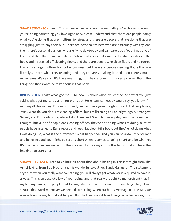**SHAWN STEVENSON:** Yeah. This is true across whatever career path you're choosing, even if you're doing something you love right now, please understand that there are people doing what you're doing that are multi-millionaires, and there are people that are doing that are struggling just to pay their bills. There are personal trainers who are extremely wealthy, and then there's personal trainers who are living day-to-day and can barely buy food, I was one of them, and then there's individuals like Bob, actually is a great example. He shares a story in the book, and he started off cleaning floors, and there are people who clean floors and he turned that into a huge multi-million-dollar business, but there are people cleaning floors that are literally... That's what they're doing and they're barely making it. And then there's multimillionaires, it's really... It's the same thing, but they're doing it in a certain way. That's the thing, and that's what he talks about in that book.

**BOB PROCTOR:** That's what got me... The book is about what I've learned. And what you just said is what got me to try and figure this out. Here I am, somebody would say, you know, I'm earning all this money, I'm doing so well, I'm living in a great neighborhood. And people say, "Well, what do you do?" I'm cleaning offices, but I'm listening to Earl Nightingale, Strangest Secret, and I'm reading Napoleon Hill's Think and Grow Rich every day. And then one day I thought, but a lot of people are cleaning offices, they're not doing what I'm doing, a lot of people have listened to Earl's record and read Napoleon Hill's book, but they're not doing what I was doing. So, what is the difference? What happened? And you can be absolutely brilliant and be losing, and you might be six bits short when it comes to being smart and be winning. It's the decisions we make, it's the choices, it's locking in, it's the focus, that's where the imagination starts it all.

**SHAWN STEVENSON:** Let's talk a little bit about that, about locking in, this is straight from The Art of Living, from Bob Proctor and his wonderful co-author, Sandy Gallagher. The statement says that when you really want something, you will always get whatever is required to have it, always. This is an absolute law of your being, and that really brought to my forefront that in my life, my family, the people that I know, whenever we truly wanted something... No, let me scratch that word, whenever we needed something, when our backs were against the wall, we [always found a way to make it happen. But the thing was, it took things to be bad enough for](https://themodelhealthshow.com/podcasts/remembering-bob-proctor/)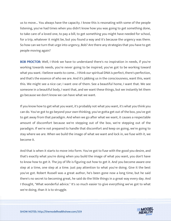us to move... You always have the capacity. I know this is resonating with some of the people listening, you've had times when you didn't know how you was going to get something done, to take care of a loved one, to pay a bill, to get something you might have needed for school, for a trip, whatever it might be, but you found a way and it's because the urgency was there. So how can we turn that urge into urgency, Bob? Are there any strategies that you have to get people moving again?

BOB PROCTOR: Well, I think we have to understand there's no inspiration in needs, if you're working towards needs, you're never going to be inspired, you've got to be working toward what you want. I believe wants to come... I think our spiritual DNA is perfect, there's perfection, and that's the essence of who we are. And it's jabbing us in the consciousness, want this, want this. We might see a nice car; I want one of them. See a beautiful home, I want that. We see someone in a beautiful body, I want that, and we want these things, but we instantly let them go because we don't know we can have what we want.

If you know how to get what you want, it's probably not what you want, it's what you think you can do. You've got to go beyond your own thinking, you've gotta get out of the box, you've got to get away from that paradigm. And when we go after what we want, it causes a respectable amount of discomfort because we're stepping out of the box, we're stepping out of the paradigm. If we're not prepared to handle that discomfort and keep on going, we're going to stay where we are. When we build the image of what we want and lock in, we fuse with it, we become it.

And that is when it starts to move into form. You've got to fuse with the good you desire, and that's exactly what you're doing when you build the image of what you want, you don't have to know how to get it. The joy of life is figuring out how to get it. And you become aware one step at a time, one step at a time. Just pay attention to what you're doing. Give it the best you've got. Robert Russell was a great author, he's been gone now a long time, but he said there's no secret to becoming great, he said do the little things in a great way every day. And I thought, "What wonderful advice." It's so much easier to give everything we've got to what we're doing, than it is to struggle.

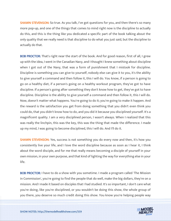**SHAWN STEVENSON:** So true. As you talk, I've got questions for you, and then there's so many more pop-up, and one of the things that comes to mind right now is the discipline to actually do this, and this is the thing like you dedicated a specific part of the book talking about the only quality that we really need is that discipline to do what you just said, but the discipline to actually do that.

BOB PROCTOR: That's right near the start of the book. And for good reason, first of all, I grew up with the idea, I went in the Canadian Navy, and I thought I knew something about discipline when I got out of the Navy, that was a form of punishment that I mistook for discipline. Discipline is something you can give to yourself, nobody else can give it to you, it's the ability to give yourself a command and then follow it, this I will do. You know, if a person is going to go on a healthy diet, if a person's going on a healthy workout program, they've got to have discipline. If a person's going after something they don't know how to get, they've got to have discipline. Discipline is the ability to give yourself a command and then follow it, this I will do. Now, doesn't matter what happens. You're going to do it; you're going to make it happen. And the reward is the satisfaction you get from doing something that you didn't even think you could do, that you didn't know how to do, and you did it because you disciplined yourself. It's a magnificent quality. I am a very disciplined person, I wasn't always. When I realized that this was really the linchpin, this was the key, this was the thing that made the difference. I made up my mind, I was going to become disciplined, this I will do. And I'll do it.

**SHAWN STEVENSON:** Yes, success is not something you do every now and then, it's how you consistently live your life, and I love the word discipline because as soon as I hear it, I think about the word disciple, and for me that really means becoming a disciple of yourself in your own mission, in your own purpose, and that kind of lighting the way for everything else in your life.

**BOB PROCTOR:** I have to do a show with you sometime. I made a program called 'The Mission in Commission', you're going to find the people that do well, make the big dollars, they're on a mission. And I made it based on disciples that I had studied. It's so important, I don't care what you're doing, like you're disciplined, or you wouldn't be doing this show, the whole group of [you there, you deserve so much credit doing this show. You know you](https://themodelhealthshow.com/podcasts/remembering-bob-proctor/)'[re helping people way](https://themodelhealthshow.com/podcasts/remembering-bob-proctor/)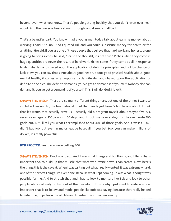beyond even what you know. There's people getting healthy that you don't even ever hear about. And the universe hears about it though, and it sends it all back.

That's a beautiful part. You know I had a young man today talk about earning money, about working. I said, "No, no." And I quoted Hill and you could substitute money for health or for anything. He said, if you are one of those people that believe that hard work and honesty alone is going to bring riches, he said, "Perish the thought, it's not true." Riches when they come in huge quantities are never the result of hard work, riches come if they come at all in response to definite demands based upon the application of definite principles, and not by chance or luck. Now, you can say that's true about good health, about good physical health, about good mental health, it comes as a response to definite demands based upon the application of definite principles. The definite demands, you've got to demand it of yourself. Nobody else can demand it, you've got a demand it of yourself. This, I will do. God, I love it.

**SHAWN STEVENSON:** There are so many different things here, but one of the things I want to circle back around to, the foundational point that I really got from Bob in talking about, I think that it's wants that actually drive us. I actually did a program myself about maybe five, six, seven years ago of 100 goals in 100 days, and it took me several days just to even write 100 goals out. But I'll tell you what I accomplished about 40% of those goals. And it wasn't 100, I didn't bat 100, but even in major league baseball, if you bat 300, you can make millions of dollars, it's really powerful.

BOB PROCTOR: Yeah. You were betting 400.

SHAWN STEVENSON: Exactly, and so... And it was small things and big things, and I think that's important too, to build up that muscle that whatever I write down, I can create. Now, here's the thing, this is the caveat. When I was writing out what I really wanted, it was extremely hard, one of the hardest things I've ever done. Because what kept coming up was what I thought was possible for me. And to stretch that, and I had to look to mentors like Bob and look to other people who've already broken out of that paradigm. This is why I just want to reiterate how important that is to follow and model people like Bob was saying, because that really helped [to usher me, to jettison the old life and to usher me into a new reality.](https://themodelhealthshow.com/podcasts/remembering-bob-proctor/)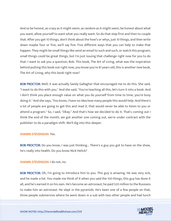And so be honest, as crazy as it might seem, as random as it might seem, be honest about what you want, allow yourself to want what you really want. So do that step first and then to couple that. After you get 10 things, don't think about the how's or whys, just 10 things, and then write down maybe four or five, we'll say five. Five different ways that you can help to make that happen. They might be small things like send an email to such and such, or watch this program, small things could be great things, but I'm just issuing that challenge right now for you to do that. I want to ask you a question, Bob. This book, The Art of Living, what was the inspiration behind putting this book out right now, you know you're 81 years old, this is another new book, The Art of Living, why this book right now?

BOB PROCTOR: Well, it was actually Sandy Gallagher that encouraged me to do this. She said, "I want to do this with you." And she said, "You're teaching all this, let's turn it into a book. And I don't think you place enough value on what you do yourself from time to time, you're busy doing it." And she says, "You know, I have no idea how many people this would help. And there's a lot of people are going to get this and read it, that would never be able to listen to you or attend a program." So, I said, "Okay." And that's how we decided to do it. That's coming out I think the end of the month, we got another one coming out, we're under contract with the publisher to do a paradigm shift. We'll dig into this deeper.

#### SHAWN STEVENSON: Yes.

BOB PROCTOR: Do you know, I was just thinking... There's a guy you got to have on the show, he's really into health. Do you know Nick Helick?

SHAWN STEVENSON: I do not, no.

**BOB PROCTOR:** Oh, I'm going to introduce him to you. This guy is amazing. He was very sick, and he made a list. You made me think of it when you said the 100 things, this guy has done it all, and he's earned it on his own. He's become an astronaut, he paid \$20 million to the Russians to make him an astronaut. He slept in the pyramids. He's been one of a few people on that, [three people submersive where he went down in a sub with two other people and had lunch](https://themodelhealthshow.com/podcasts/remembering-bob-proctor/)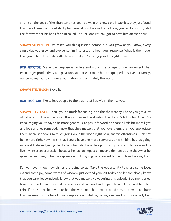sitting on the deck of the Titanic. He has been down in this new cave in Mexico, they just found that have these giant crystals. A phenomenal guy. He's written a book, you can look it up, I did the foreword for his book for him called 'The Trillionaire'. You got to have him on the show.

**SHAWN STEVENSON:** I've asked you this question before, but you grow as you know, every single day you grow and evolve, so I'm interested to hear your response. What is the model that you're here to create with the way that you're living your life right now?

**BOB PROCTOR:** My whole purpose is to live and work in a prosperous environment that encourages productivity and pleasure, so that we can be better equipped to serve our family, our company, our community, our nation, and ultimately the world.

SHAWN STEVENSON: I love it.

**BOB PROCTOR:** I like to lead people to the truth that lies within themselves.

**SHAWN STEVENSON:** Thank you so much for tuning in to the show today, I hope you got a lot of value out of this and enjoyed this journey and celebrating the life of Bob Proctor. Again I'm encouraging you today to be more generous, to pay it forward, to share a little bit more light and love and let somebody know that they matter, that you love them, that you appreciate them, because there's so much going on in the world right now, and we oftentimes... Bob not being here right now, I wish that I could have one more conversation with him, but it's going into gratitude and giving thanks for what I did have the opportunity to do and to learn and to live my life as an expression because he had an impact on me and demonstrating that what he gave me I'm going to be the expression of, I'm going to represent him with how I live my life.

So, we never know how things are going to go. Take the opportunity to share some love, extend some joy, some words of wisdom, just extend yourself today and let somebody know that you care, let somebody know that you matter. Now, during this episode, Bob mentioned how much his lifeline was tied to his work and to travel and to people, and I just can't help but think if he'd still be here with us had the world not shut down around him. And I want to share [that because it](https://themodelhealthshow.com/podcasts/remembering-bob-proctor/)'[s true for all of us. People are our lifeline, having a sense of purpose is truly tied](https://themodelhealthshow.com/podcasts/remembering-bob-proctor/)